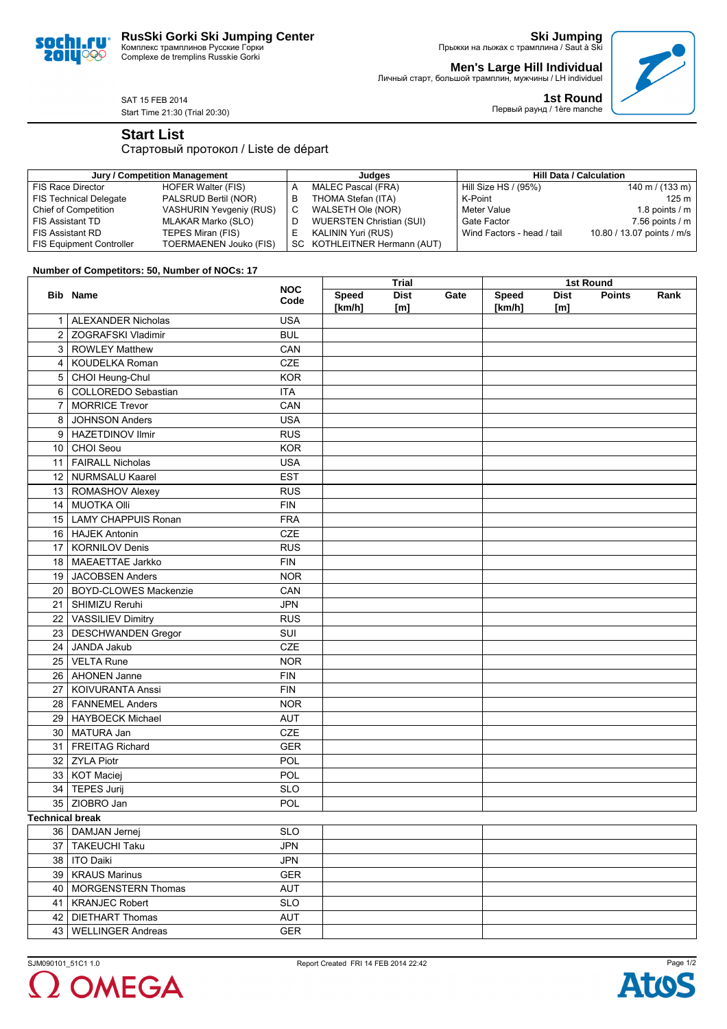# **RusSki Gorki Ski Jumping Center**

Комплекс трамплинов Русские Горки Complexe de tremplins Russkie Gorki

**Ski Jumping** Прыжки на лыжах с трамплина / Saut à Ski

**Men's Large Hill Individual**

**1st Round**



Первый раунд / 1ère manche

Личный старт, большой трамплин, мужчины / LH individuel

SAT 15 FEB 2014 Start Time 21:30 (Trial 20:30)

**Start List**

soc **20IU** 

QÇ

### Стартовый протокол / Liste de départ

| Jury / Competition Management   |                                |   | Judaes                          | <b>Hill Data / Calculation</b> |                            |  |
|---------------------------------|--------------------------------|---|---------------------------------|--------------------------------|----------------------------|--|
| FIS Race Director               | HOFER Walter (FIS)             |   | MALEC Pascal (FRA)              | Hill Size HS / (95%)           | 140 m / $(133 \text{ m})$  |  |
| <b>FIS Technical Delegate</b>   | PALSRUD Bertil (NOR)           |   | THOMA Stefan (ITA)              | K-Point                        | 125 m                      |  |
| Chief of Competition            | <b>VASHURIN Yevgeniy (RUS)</b> | С | WALSETH Ole (NOR)               | Meter Value                    | 1.8 points $/m$            |  |
| <b>FIS Assistant TD</b>         | MLAKAR Marko (SLO)             |   | <b>WUERSTEN Christian (SUI)</b> | Gate Factor                    | 7.56 points $\sqrt{m}$     |  |
| <b>FIS Assistant RD</b>         | TEPES Miran (FIS)              |   | KALININ Yuri (RUS)              | Wind Factors - head / tail     | 10.80 / 13.07 points / m/s |  |
| <b>FIS Equipment Controller</b> | TOERMAENEN Jouko (FIS)         |   | SC KOTHLEITNER Hermann (AUT)    |                                |                            |  |

### **Number of Competitors: 50, Number of NOCs: 17**

|                        |                            | <b>NOC</b>  | Trial                  |                    |      | 1st Round              |                    |               |      |  |
|------------------------|----------------------------|-------------|------------------------|--------------------|------|------------------------|--------------------|---------------|------|--|
|                        | <b>Bib Name</b>            | Code        | <b>Speed</b><br>[km/h] | <b>Dist</b><br>[m] | Gate | <b>Speed</b><br>[km/h] | <b>Dist</b><br>[m] | <b>Points</b> | Rank |  |
|                        | 1   ALEXANDER Nicholas     | <b>USA</b>  |                        |                    |      |                        |                    |               |      |  |
|                        | 2 ZOGRAFSKI Vladimir       | <b>BUL</b>  |                        |                    |      |                        |                    |               |      |  |
|                        | 3   ROWLEY Matthew         | CAN         |                        |                    |      |                        |                    |               |      |  |
|                        | 4   KOUDELKA Roman         | <b>CZE</b>  |                        |                    |      |                        |                    |               |      |  |
|                        | 5   CHOI Heung-Chul        | <b>KOR</b>  |                        |                    |      |                        |                    |               |      |  |
|                        | 6 COLLOREDO Sebastian      | <b>ITA</b>  |                        |                    |      |                        |                    |               |      |  |
| $\overline{7}$         | MORRICE Trevor             | CAN         |                        |                    |      |                        |                    |               |      |  |
| 8                      | JOHNSON Anders             | <b>USA</b>  |                        |                    |      |                        |                    |               |      |  |
| 9                      | HAZETDINOV Ilmir           | <b>RUS</b>  |                        |                    |      |                        |                    |               |      |  |
|                        | 10 CHOI Seou               | <b>KOR</b>  |                        |                    |      |                        |                    |               |      |  |
|                        | 11   FAIRALL Nicholas      | <b>USA</b>  |                        |                    |      |                        |                    |               |      |  |
|                        | 12 NURMSALU Kaarel         | <b>EST</b>  |                        |                    |      |                        |                    |               |      |  |
|                        | 13   ROMASHOV Alexey       | <b>RUS</b>  |                        |                    |      |                        |                    |               |      |  |
|                        | 14   MUOTKA Olli           | <b>FIN</b>  |                        |                    |      |                        |                    |               |      |  |
|                        | 15   LAMY CHAPPUIS Ronan   | <b>FRA</b>  |                        |                    |      |                        |                    |               |      |  |
|                        | 16   HAJEK Antonin         | CZE         |                        |                    |      |                        |                    |               |      |  |
|                        | 17   KORNILOV Denis        | <b>RUS</b>  |                        |                    |      |                        |                    |               |      |  |
|                        | 18   MAEAETTAE Jarkko      | <b>FIN</b>  |                        |                    |      |                        |                    |               |      |  |
|                        | 19 JACOBSEN Anders         | <b>NOR</b>  |                        |                    |      |                        |                    |               |      |  |
|                        | 20   BOYD-CLOWES Mackenzie | CAN         |                        |                    |      |                        |                    |               |      |  |
|                        | 21   SHIMIZU Reruhi        | <b>JPN</b>  |                        |                    |      |                        |                    |               |      |  |
|                        | 22   VASSILIEV Dimitry     | <b>RUS</b>  |                        |                    |      |                        |                    |               |      |  |
|                        | 23   DESCHWANDEN Gregor    | SUI         |                        |                    |      |                        |                    |               |      |  |
|                        | 24 JANDA Jakub             | CZE         |                        |                    |      |                        |                    |               |      |  |
|                        | 25   VELTA Rune            | <b>NOR</b>  |                        |                    |      |                        |                    |               |      |  |
|                        | 26   AHONEN Janne          | <b>FIN</b>  |                        |                    |      |                        |                    |               |      |  |
|                        | 27   KOIVURANTA Anssi      | <b>FIN</b>  |                        |                    |      |                        |                    |               |      |  |
|                        | 28   FANNEMEL Anders       | <b>NOR</b>  |                        |                    |      |                        |                    |               |      |  |
|                        | 29   HAYBOECK Michael      | <b>AUT</b>  |                        |                    |      |                        |                    |               |      |  |
|                        | 30   MATURA Jan            | CZE         |                        |                    |      |                        |                    |               |      |  |
|                        | 31   FREITAG Richard       | <b>GER</b>  |                        |                    |      |                        |                    |               |      |  |
|                        | 32 ZYLA Piotr              | POL         |                        |                    |      |                        |                    |               |      |  |
|                        | 33   KOT Maciej            | POL         |                        |                    |      |                        |                    |               |      |  |
|                        | 34   TEPES Jurij           | <b>SLO</b>  |                        |                    |      |                        |                    |               |      |  |
|                        | 35 ZIOBRO Jan              | POL         |                        |                    |      |                        |                    |               |      |  |
| <b>Technical break</b> |                            |             |                        |                    |      |                        |                    |               |      |  |
|                        | 36   DAMJAN Jernej         | <b>SLO</b>  |                        |                    |      |                        |                    |               |      |  |
| 37                     | TAKEUCHI Taku              | <b>JPN</b>  |                        |                    |      |                        |                    |               |      |  |
|                        | 38   ITO Daiki             | JPN         |                        |                    |      |                        |                    |               |      |  |
|                        | 39   KRAUS Marinus         | <b>GER</b>  |                        |                    |      |                        |                    |               |      |  |
|                        | 40   MORGENSTERN Thomas    | AUT         |                        |                    |      |                        |                    |               |      |  |
|                        | 41   KRANJEC Robert        | <b>SLO</b>  |                        |                    |      |                        |                    |               |      |  |
|                        | 42   DIETHART Thomas       | AUT         |                        |                    |      |                        |                    |               |      |  |
|                        | 43   WELLINGER Andreas     | ${\tt GER}$ |                        |                    |      |                        |                    |               |      |  |